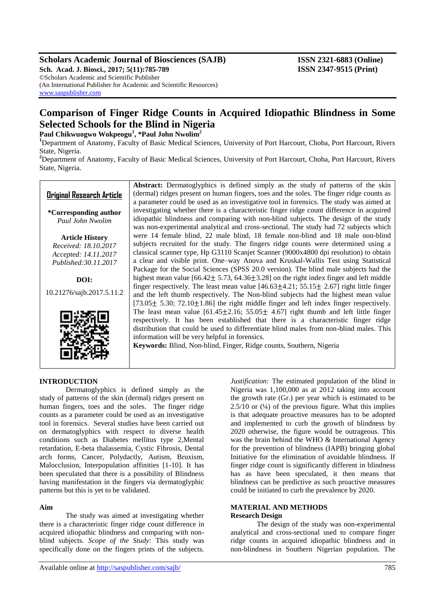## **Scholars Academic Journal of Biosciences (SAJB) ISSN 2321-6883 (Online)**

**Sch. Acad. J. Biosci., 2017; 5(11):785-789 ISSN 2347-9515 (Print)** ©Scholars Academic and Scientific Publisher (An International Publisher for Academic and Scientific Resources) [www.saspublisher.com](http://www.saspublisher.com/)

# **Comparison of Finger Ridge Counts in Acquired Idiopathic Blindness in Some Selected Schools for the Blind in Nigeria**

**Paul Chikwuogwo Wokpeogu<sup>1</sup> , \*Paul John Nwolim<sup>2</sup>**

**<sup>1</sup>**Department of Anatomy, Faculty of Basic Medical Sciences, University of Port Harcourt, Choba, Port Harcourt, Rivers State, Nigeria.

**<sup>2</sup>**Department of Anatomy, Faculty of Basic Medical Sciences, University of Port Harcourt, Choba, Port Harcourt, Rivers State, Nigeria.

## **Original Research Article**

**\*Corresponding author** *Paul John Nwolim*

**Article History** *Received: 18.10.2017 Accepted: 14.11.2017 Published:30.11.2017*

**DOI:**

10.21276/sajb.2017.5.11.2



## **INTRODUCTION**

Dermatoglyphics is defined simply as the study of patterns of the skin (dermal) ridges present on human fingers, toes and the soles. The finger ridge counts as a parameter could be used as an investigative tool in forensics. Several studies have been carried out on dermatoglyphics with respect to diverse health conditions such as Diabetes mellitus type 2,Mental retardation, E-beta thalassemia, Cystic Fibrosis, Dental arch forms, Cancer, Polydactly, Autism, Bruxism, Malocclusion, Interpopulation affinities [1-10]. It has been speculated that there is a possibility of Blindness having manifestation in the fingers via dermatoglyphic patterns but this is yet to be validated.

## **Aim**

The study was aimed at investigating whether there is a characteristic finger ridge count difference in acquired idiopathic blindness and comparing with nonblind subjects. *Scope of the Study*: This study was specifically done on the fingers prints of the subjects.

Available online at<http://saspublisher.com/sajb/> 785

**Abstract:** Dermatoglyphics is defined simply as the study of patterns of the skin (dermal) ridges present on human fingers, toes and the soles. The finger ridge counts as a parameter could be used as an investigative tool in forensics. The study was aimed at investigating whether there is a characteristic finger ridge count difference in acquired idiopathic blindness and comparing with non-blind subjects. The design of the study was non-experimental analytical and cross-sectional. The study had 72 subjects which were 14 female blind, 22 male blind, 18 female non-blind and 18 male non-blind subjects recruited for the study. The fingers ridge counts were determined using a classical scanner type, Hp G3110 Scanjet Scanner (9000x4800 dpi resolution) to obtain a clear and visible print. One–way Anova and Kruskal-Wallis Test using Statistical Package for the Social Sciences (SPSS 20.0 version). The blind male subjects had the highest mean value  $[66.42 \pm 5.73, 64.36 \pm 3.28]$  on the right index finger and left middle finger respectively. The least mean value  $[46.63 \pm 4.21; 55.15 \pm 2.67]$  right little finger and the left thumb respectively. The Non-blind subjects had the highest mean value  $[73.05 \pm 5.30; 72.10 \pm 1.86]$  the right middle finger and left index finger respectively. The least mean value  $[61.45 + 2.16; 55.05 + 4.67]$  right thumb and left little finger respectively. It has been established that there is a characteristic finger ridge distribution that could be used to differentiate blind males from non-blind males. This information will be very helpful in forensics.

**Keywords:** Blind, Non-blind, Finger, Ridge counts, Southern, Nigeria

*Justification:* The estimated population of the blind in Nigeria was 1,100,000 as at 2012 taking into account the growth rate (Gr.) per year which is estimated to be  $2.5/10$  or  $(½)$  of the previous figure. What this implies is that adequate proactive measures has to be adopted and implemented to curb the growth of blindness by 2020 otherwise, the figure would be outrageous. This was the brain behind the WHO & International Agency for the prevention of blindness (IAPB) bringing global Initiative for the elimination of avoidable blindness. If finger ridge count is significantly different in blindness has as have been speculated, it then means that blindness can be predictive as such proactive measures could be initiated to curb the prevalence by 2020.

## **MATERIAL AND METHODS Research Design**

The design of the study was non-experimental analytical and cross-sectional used to compare finger ridge counts in acquired idiopathic blindness and in non-blindness in Southern Nigerian population. The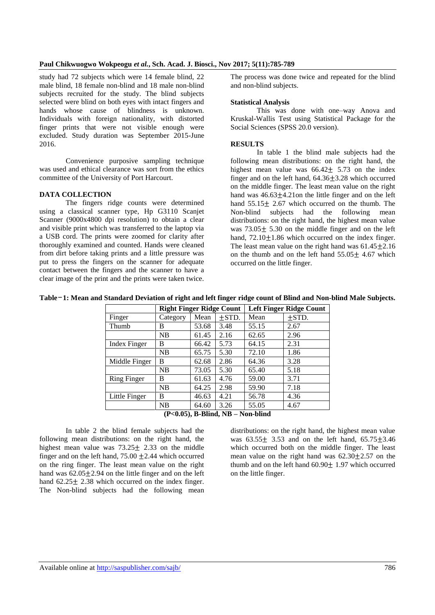#### **Paul Chikwuogwo Wokpeogu** *et al.***, Sch. Acad. J. Biosci., Nov 2017; 5(11):785-789**

study had 72 subjects which were 14 female blind, 22 male blind, 18 female non-blind and 18 male non-blind subjects recruited for the study. The blind subjects selected were blind on both eyes with intact fingers and hands whose cause of blindness is unknown. Individuals with foreign nationality, with distorted finger prints that were not visible enough were excluded. Study duration was September 2015-June 2016.

Convenience purposive sampling technique was used and ethical clearance was sort from the ethics committee of the University of Port Harcourt.

#### **DATA COLLECTION**

The fingers ridge counts were determined using a classical scanner type, Hp G3110 Scanjet Scanner (9000x4800 dpi resolution) to obtain a clear and visible print which was transferred to the laptop via a USB cord. The prints were zoomed for clarity after thoroughly examined and counted. Hands were cleaned from dirt before taking prints and a little pressure was put to press the fingers on the scanner for adequate contact between the fingers and the scanner to have a clear image of the print and the prints were taken twice.

The process was done twice and repeated for the blind and non-blind subjects.

#### **Statistical Analysis**

This was done with one–way Anova and Kruskal-Wallis Test using Statistical Package for the Social Sciences (SPSS 20.0 version).

#### **RESULTS**

In table 1 the blind male subjects had the following mean distributions: on the right hand, the highest mean value was  $66.42 \pm 5.73$  on the index finger and on the left hand,  $64.36 \pm 3.28$  which occurred on the middle finger. The least mean value on the right hand was  $46.63 \pm 4.21$  on the little finger and on the left hand  $55.15 \pm 2.67$  which occurred on the thumb. The Non-blind subjects had the following mean distributions: on the right hand, the highest mean value was  $73.05 \pm 5.30$  on the middle finger and on the left hand,  $72.10 \pm 1.86$  which occurred on the index finger. The least mean value on the right hand was  $61.45 + 2.16$ on the thumb and on the left hand  $55.05 + 4.67$  which occurred on the little finger.

#### **Table**-**1: Mean and Standard Deviation of right and left finger ridge count of Blind and Non-blind Male Subjects.**

|                                                    | <b>Right Finger Ridge Count</b> |       |            | <b>Left Finger Ridge Count</b> |            |  |  |  |  |
|----------------------------------------------------|---------------------------------|-------|------------|--------------------------------|------------|--|--|--|--|
| Finger                                             | Category                        | Mean  | $\pm$ STD. | Mean                           | $\pm$ STD. |  |  |  |  |
| Thumb                                              | B                               | 53.68 | 3.48       | 55.15                          | 2.67       |  |  |  |  |
|                                                    | NB                              | 61.45 | 2.16       | 62.65                          | 2.96       |  |  |  |  |
| <b>Index Finger</b>                                | В                               | 66.42 | 5.73       | 64.15                          | 2.31       |  |  |  |  |
|                                                    | NB                              | 65.75 | 5.30       | 72.10                          | 1.86       |  |  |  |  |
| Middle Finger                                      | В                               | 62.68 | 2.86       | 64.36                          | 3.28       |  |  |  |  |
|                                                    | NB                              | 73.05 | 5.30       | 65.40                          | 5.18       |  |  |  |  |
| Ring Finger                                        | В                               | 61.63 | 4.76       | 59.00                          | 3.71       |  |  |  |  |
|                                                    | NB                              | 64.25 | 2.98       | 59.90                          | 7.18       |  |  |  |  |
| Little Finger                                      | B                               | 46.63 | 4.21       | 56.78                          | 4.36       |  |  |  |  |
|                                                    | NB                              | 64.60 | 3.26       | 55.05                          | 4.67       |  |  |  |  |
| $(n, \alpha)$ n nu $\mathbf{m}$<br><b>AT 11' 1</b> |                                 |       |            |                                |            |  |  |  |  |

**(P<0.05), B-Blind, NB – Non-blind**

In table 2 the blind female subjects had the following mean distributions: on the right hand, the highest mean value was  $73.25 \pm 2.33$  on the middle finger and on the left hand,  $75.00 \pm 2.44$  which occurred on the ring finger. The least mean value on the right hand was  $62.05 \pm 2.94$  on the little finger and on the left hand  $62.25 \pm 2.38$  which occurred on the index finger. The Non-blind subjects had the following mean

distributions: on the right hand, the highest mean value was  $63.55 \pm 3.53$  and on the left hand,  $65.75 \pm 3.46$ which occurred both on the middle finger. The least mean value on the right hand was  $62.30 \pm 2.57$  on the thumb and on the left hand  $60.90 \pm 1.97$  which occurred on the little finger.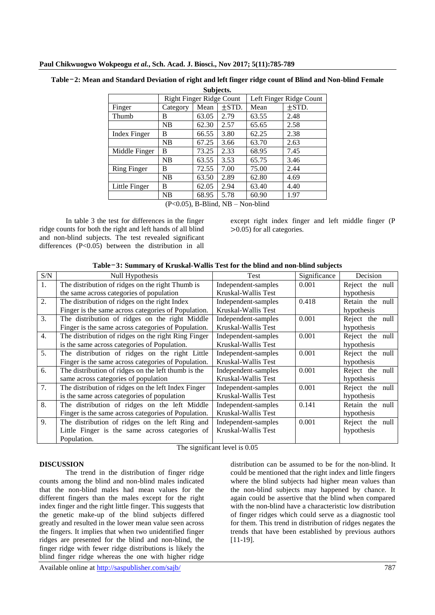| Subjects.                                             |                                 |       |                         |       |            |  |  |  |
|-------------------------------------------------------|---------------------------------|-------|-------------------------|-------|------------|--|--|--|
|                                                       | <b>Right Finger Ridge Count</b> |       | Left Finger Ridge Count |       |            |  |  |  |
| Finger                                                | Category                        | Mean  | $\pm$ STD.              | Mean  | $\pm$ STD. |  |  |  |
| Thumb                                                 | B                               | 63.05 | 2.79                    | 63.55 | 2.48       |  |  |  |
|                                                       | NB                              | 62.30 | 2.57                    | 65.65 | 2.58       |  |  |  |
| <b>Index Finger</b>                                   | В                               | 66.55 | 3.80                    | 62.25 | 2.38       |  |  |  |
|                                                       | NB                              | 67.25 | 3.66                    | 63.70 | 2.63       |  |  |  |
| Middle Finger                                         | В                               | 73.25 | 2.33                    | 68.95 | 7.45       |  |  |  |
|                                                       | NB                              | 63.55 | 3.53                    | 65.75 | 3.46       |  |  |  |
| <b>Ring Finger</b>                                    | B                               | 72.55 | 7.00                    | 75.00 | 2.44       |  |  |  |
|                                                       | <b>NB</b>                       | 63.50 | 2.89                    | 62.80 | 4.69       |  |  |  |
| Little Finger                                         | B                               | 62.05 | 2.94                    | 63.40 | 4.40       |  |  |  |
|                                                       | NB                              | 68.95 | 5.78                    | 60.90 | 1.97       |  |  |  |
| (D <sub>0</sub> 05)<br><b>D Dlind ND</b><br>Non hlind |                                 |       |                         |       |            |  |  |  |

## **Table**-**2: Mean and Standard Deviation of right and left finger ridge count of Blind and Non-blind Female**

(P<0.05), B-Blind, NB – Non-blind

In table 3 the test for differences in the finger ridge counts for both the right and left hands of all blind and non-blind subjects. The test revealed significant differences  $(P<0.05)$  between the distribution in all

except right index finger and left middle finger (P 0.05) for all categories.

| S/N              | Null Hypothesis                                     | Test                | Significance<br>Decision |                 |
|------------------|-----------------------------------------------------|---------------------|--------------------------|-----------------|
| 1.               | The distribution of ridges on the right Thumb is    | Independent-samples | 0.001                    | Reject the null |
|                  | the same across categories of population            | Kruskal-Wallis Test |                          | hypothesis      |
| 2.               | The distribution of ridges on the right Index       | Independent-samples | 0.418                    | Retain the null |
|                  | Finger is the same across categories of Population. | Kruskal-Wallis Test |                          | hypothesis      |
| $\mathfrak{Z}$ . | The distribution of ridges on the right Middle      | Independent-samples | 0.001                    | Reject the null |
|                  | Finger is the same across categories of Population. | Kruskal-Wallis Test |                          | hypothesis      |
| 4.               | The distribution of ridges on the right Ring Finger | Independent-samples | 0.001                    | Reject the null |
|                  | is the same across categories of Population.        | Kruskal-Wallis Test |                          | hypothesis      |
| 5.               | The distribution of ridges on the right Little      | Independent-samples | 0.001                    | Reject the null |
|                  | Finger is the same across categories of Population. | Kruskal-Wallis Test |                          | hypothesis      |
| 6.               | The distribution of ridges on the left thumb is the | Independent-samples | 0.001                    | Reject the null |
|                  | same across categories of population                | Kruskal-Wallis Test |                          | hypothesis      |
| 7.               | The distribution of ridges on the left Index Finger | Independent-samples | 0.001                    | Reject the null |
|                  | is the same across categories of population         | Kruskal-Wallis Test |                          | hypothesis      |
| 8.               | The distribution of ridges on the left Middle       | Independent-samples | 0.141                    | Retain the null |
|                  | Finger is the same across categories of Population. | Kruskal-Wallis Test |                          | hypothesis      |
| 9.               | The distribution of ridges on the left Ring and     | Independent-samples | 0.001                    | Reject the null |
|                  | Little Finger is the same across categories of      | Kruskal-Wallis Test |                          | hypothesis      |
|                  | Population.                                         |                     |                          |                 |

The significant level is 0.05

## **DISCUSSION**

The trend in the distribution of finger ridge counts among the blind and non-blind males indicated that the non-blind males had mean values for the different fingers than the males except for the right index finger and the right little finger. This suggests that the genetic make-up of the blind subjects differed greatly and resulted in the lower mean value seen across the fingers. It implies that when two unidentified finger ridges are presented for the blind and non-blind, the finger ridge with fewer ridge distributions is likely the blind finger ridge whereas the one with higher ridge

distribution can be assumed to be for the non-blind. It could be mentioned that the right index and little fingers where the blind subjects had higher mean values than the non-blind subjects may happened by chance. It again could be assertive that the blind when compared with the non-blind have a characteristic low distribution of finger ridges which could serve as a diagnostic tool for them. This trend in distribution of ridges negates the trends that have been established by previous authors [11-19].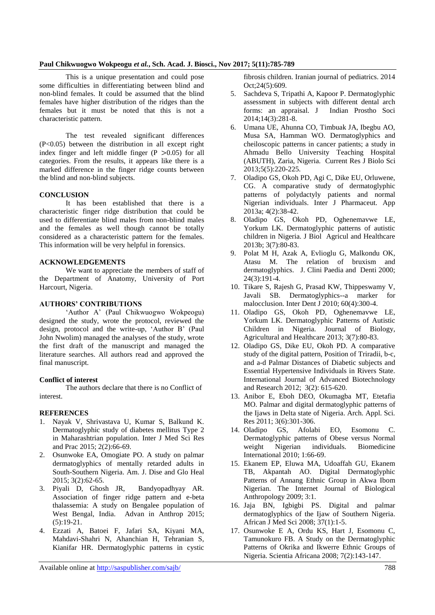## **Paul Chikwuogwo Wokpeogu** *et al.***, Sch. Acad. J. Biosci., Nov 2017; 5(11):785-789**

This is a unique presentation and could pose some difficulties in differentiating between blind and non-blind females. It could be assumed that the blind females have higher distribution of the ridges than the females but it must be noted that this is not a characteristic pattern.

The test revealed significant differences (P<0.05) between the distribution in all except right index finger and left middle finger  $(P > 0.05)$  for all categories. From the results, it appears like there is a marked difference in the finger ridge counts between the blind and non-blind subjects.

## **CONCLUSION**

It has been established that there is a characteristic finger ridge distribution that could be used to differentiate blind males from non-blind males and the females as well though cannot be totally considered as a characteristic pattern for the females. This information will be very helpful in forensics.

## **ACKNOWLEDGEMENTS**

We want to appreciate the members of staff of the Department of Anatomy, University of Port Harcourt, Nigeria.

## **AUTHORS' CONTRIBUTIONS**

'Author A' (Paul Chikwuogwo Wokpeogu) designed the study, wrote the protocol, reviewed the design, protocol and the write-up, 'Author B' (Paul John Nwolim) managed the analyses of the study, wrote the first draft of the manuscript and managed the literature searches. All authors read and approved the final manuscript.

## **Conflict of interest**

The authors declare that there is no Conflict of interest.

## **REFERENCES**

- 1. Nayak V, Shrivastava U, Kumar S, Balkund K. Dermatoglyphic study of diabetes mellitus Type 2 in Maharashtrian population. Inter J Med Sci Res and Prac 2015; 2(2):66-69.
- 2. Osunwoke EA, Omogiate PO. A study on palmar dermatoglyphics of mentally retarded adults in South-Southern Nigeria. Am. J. Dise and Glo Heal 2015; 3(2):62-65.
- 3. Piyali D, Ghosh JR, Bandyopadhyay AR. Association of finger ridge pattern and e-beta thalassemia: A study on Bengalee population of West Bengal, India. Advan in Anthrop 2015;  $(5):19-21.$
- 4. Ezzati A, Batoei F, Jafari SA, Kiyani MA, Mahdavi-Shahri N, Ahanchian H, Tehranian S, Kianifar HR. Dermatoglyphic patterns in cystic

fibrosis children. Iranian journal of pediatrics. 2014 Oct;24(5):609.

- 5. Sachdeva S, Tripathi A, Kapoor P. Dermatoglyphic assessment in subjects with different dental arch forms: an appraisal. J Indian Prostho Soci 2014;14(3):281-8.
- 6. Umana UE, Ahunna CO, Timbuak JA, Ibegbu AO, Musa SA, Hamman WO. Dermatoglyphics and cheiloscopic patterns in cancer patients; a study in Ahmadu Bello University Teaching Hospital (ABUTH), Zaria, Nigeria. Current Res J Biolo Sci 2013;5(5):220-225.
- 7. Oladipo GS, Okoh PD, Agi C, Dike EU, Orluwene, CG. A comparative study of dermatoglyphic patterns of polydactyly patients and normal Nigerian individuals. Inter J Pharmaceut. App 2013a; 4(2):38-42.
- 8. Oladipo GS, Okoh PD, Oghenemavwe LE, Yorkum LK. Dermatoglyphic patterns of autistic children in Nigeria. J Biol Agricul and Healthcare 2013b; 3(7):80-83.
- 9. Polat M H, Azak A, Evlioglu G, Malkondu OK, Atasu M. The relation of bruxism and dermatoglyphics. J. Clini Paedia and Denti 2000; 24(3):191-4.
- 10. Tikare S, Rajesh G, Prasad KW, Thippeswamy V, Javali SB. Dermatoglyphics--a marker for malocclusion. Inter Dent J 2010; 60(4):300-4.
- 11. Oladipo GS, Okoh PD, Oghenemavwe LE, Yorkum LK. Dermatoglyphic Patterns of Autistic Children in Nigeria. Journal of Biology, Agricultural and Healthcare 2013; 3(7):80-83.
- 12. Oladipo GS, Dike EU, Okoh PD. A comparative study of the digital pattern, Position of Triradii, b-c, and a-d Palmar Distances of Diabetic subjects and Essential Hypertensive Individuals in Rivers State. International Journal of Advanced Biotechnology and Research 2012; 3(2): 615-620.
- 13. Anibor E, Eboh DEO, Okumagba MT, Etetafia MO. Palmar and digital dermatoglyphic patterns of the Ijaws in Delta state of Nigeria. Arch. Appl. Sci. Res 2011; 3(6):301-306.
- 14. Oladipo GS, Afolabi EO, Esomonu C. Dermatoglyphic patterns of Obese versus Normal weight Nigerian individuals. Biomedicine International 2010; 1:66-69.
- 15. Ekanem EP, Eluwa MA, Udoaffah GU, Ekanem TB, Akpantah AO. Digital Dermatoglyphic Patterns of Annang Ethnic Group in Akwa Ibom Nigerian. The Internet Journal of Biological Anthropology 2009; 3:1.
- 16. Jaja BN, Igbigbi PS. Digital and palmar dermatoglyphics of the Ijaw of Southern Nigeria. African J Med Sci 2008; 37(1):1-5.
- 17. Osunwoke E A, Ordu KS, Hart J, Esomonu C, Tamunokuro FB. A Study on the Dermatoglyphic Patterns of Okrika and Ikwerre Ethnic Groups of Nigeria. Scientia Africana 2008; 7(2):143-147.